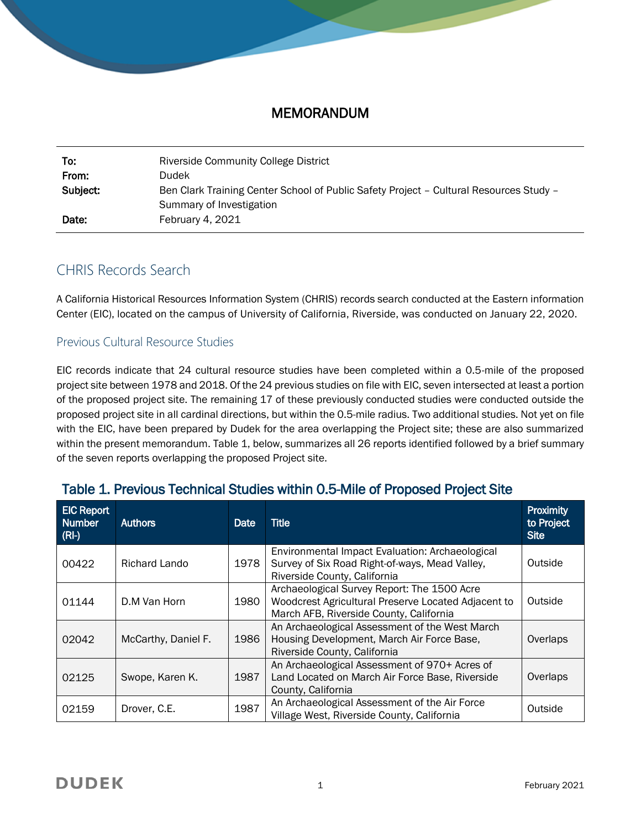### MEMORANDUM

| To:      | <b>Riverside Community College District</b>                                            |
|----------|----------------------------------------------------------------------------------------|
| From:    | <b>Dudek</b>                                                                           |
| Subject: | Ben Clark Training Center School of Public Safety Project - Cultural Resources Study - |
|          | Summary of Investigation                                                               |
| Date:    | February 4, 2021                                                                       |

# CHRIS Records Search

A California Historical Resources Information System (CHRIS) records search conducted at the Eastern information Center (EIC), located on the campus of University of California, Riverside, was conducted on January 22, 2020.

### Previous Cultural Resource Studies

EIC records indicate that 24 cultural resource studies have been completed within a 0.5-mile of the proposed project site between 1978 and 2018. Of the 24 previous studies on file with EIC, seven intersected at least a portion of the proposed project site. The remaining 17 of these previously conducted studies were conducted outside the proposed project site in all cardinal directions, but within the 0.5-mile radius. Two additional studies. Not yet on file with the EIC, have been prepared by Dudek for the area overlapping the Project site; these are also summarized within the present memorandum. Table 1, below, summarizes all 26 reports identified followed by a brief summary of the seven reports overlapping the proposed Project site.

| <b>EIC Report</b><br><b>Number</b><br>(RI) | <b>Authors</b>      | <b>Date</b> | <b>Title</b>                                                                                                                                  | <b>Proximity</b><br>to Project<br><b>Site</b> |
|--------------------------------------------|---------------------|-------------|-----------------------------------------------------------------------------------------------------------------------------------------------|-----------------------------------------------|
| 00422                                      | Richard Lando       | 1978        | Environmental Impact Evaluation: Archaeological<br>Survey of Six Road Right-of-ways, Mead Valley,<br>Riverside County, California             | Outside                                       |
| 01144                                      | D.M Van Horn        | 1980        | Archaeological Survey Report: The 1500 Acre<br>Woodcrest Agricultural Preserve Located Adjacent to<br>March AFB, Riverside County, California | Outside                                       |
| 02042                                      | McCarthy, Daniel F. | 1986        | An Archaeological Assessment of the West March<br>Housing Development, March Air Force Base,<br>Riverside County, California                  | Overlaps                                      |
| 02125                                      | Swope, Karen K.     | 1987        | An Archaeological Assessment of 970+ Acres of<br>Land Located on March Air Force Base, Riverside<br>County, California                        | Overlaps                                      |
| 02159                                      | Drover, C.E.        | 1987        | An Archaeological Assessment of the Air Force<br>Village West, Riverside County, California                                                   | Outside                                       |

# Table 1. Previous Technical Studies within 0.5-Mile of Proposed Project Site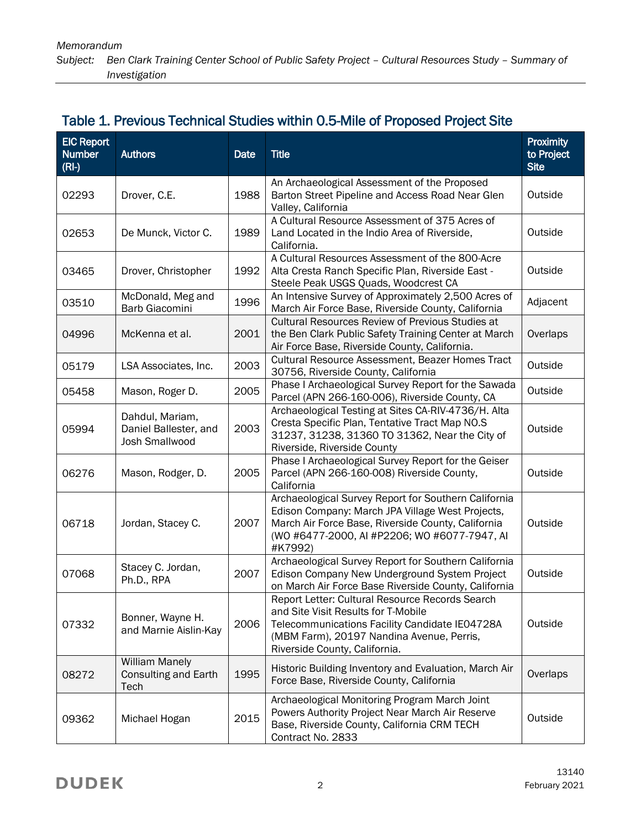# Table 1. Previous Technical Studies within 0.5-Mile of Proposed Project Site

| <b>EIC Report</b><br><b>Number</b><br>$(RI-)$ | <b>Authors</b>                                               | Date | <b>Title</b>                                                                                                                                                                                                              | <b>Proximity</b><br>to Project<br><b>Site</b> |
|-----------------------------------------------|--------------------------------------------------------------|------|---------------------------------------------------------------------------------------------------------------------------------------------------------------------------------------------------------------------------|-----------------------------------------------|
| 02293                                         | Drover, C.E.                                                 | 1988 | An Archaeological Assessment of the Proposed<br>Barton Street Pipeline and Access Road Near Glen<br>Valley, California                                                                                                    | Outside                                       |
| 02653                                         | De Munck, Victor C.                                          | 1989 | A Cultural Resource Assessment of 375 Acres of<br>Land Located in the Indio Area of Riverside,<br>California.                                                                                                             | Outside                                       |
| 03465                                         | Drover, Christopher                                          | 1992 | A Cultural Resources Assessment of the 800-Acre<br>Alta Cresta Ranch Specific Plan, Riverside East -<br>Steele Peak USGS Quads, Woodcrest CA                                                                              | Outside                                       |
| 03510                                         | McDonald, Meg and<br>Barb Giacomini                          | 1996 | An Intensive Survey of Approximately 2,500 Acres of<br>March Air Force Base, Riverside County, California                                                                                                                 | Adjacent                                      |
| 04996                                         | McKenna et al.                                               | 2001 | <b>Cultural Resources Review of Previous Studies at</b><br>the Ben Clark Public Safety Training Center at March<br>Air Force Base, Riverside County, California.                                                          | Overlaps                                      |
| 05179                                         | LSA Associates, Inc.                                         | 2003 | Cultural Resource Assessment, Beazer Homes Tract<br>30756, Riverside County, California                                                                                                                                   | Outside                                       |
| 05458                                         | Mason, Roger D.                                              | 2005 | Phase I Archaeological Survey Report for the Sawada<br>Parcel (APN 266-160-006), Riverside County, CA                                                                                                                     | Outside                                       |
| 05994                                         | Dahdul, Mariam,<br>Daniel Ballester, and<br>Josh Smallwood   | 2003 | Archaeological Testing at Sites CA-RIV-4736/H. Alta<br>Cresta Specific Plan, Tentative Tract Map NO.S<br>31237, 31238, 31360 TO 31362, Near the City of<br>Riverside, Riverside County                                    | Outside                                       |
| 06276                                         | Mason, Rodger, D.                                            | 2005 | Phase I Archaeological Survey Report for the Geiser<br>Parcel (APN 266-160-008) Riverside County,<br>California                                                                                                           | Outside                                       |
| 06718                                         | Jordan, Stacey C.                                            | 2007 | Archaeological Survey Report for Southern California<br>Edison Company: March JPA Village West Projects,<br>March Air Force Base, Riverside County, California<br>(WO #6477-2000, AI #P2206; WO #6077-7947, AI<br>#K7992) | Outside                                       |
| 07068                                         | Stacey C. Jordan,<br>Ph.D., RPA                              | 2007 | Archaeological Survey Report for Southern California<br>Edison Company New Underground System Project<br>on March Air Force Base Riverside County, California                                                             | Outside                                       |
| 07332                                         | Bonner, Wayne H.<br>and Marnie Aislin-Kay                    | 2006 | Report Letter: Cultural Resource Records Search<br>and Site Visit Results for T-Mobile<br>Telecommunications Facility Candidate IE04728A<br>(MBM Farm), 20197 Nandina Avenue, Perris,<br>Riverside County, California.    | Outside                                       |
| 08272                                         | <b>William Manely</b><br><b>Consulting and Earth</b><br>Tech | 1995 | Historic Building Inventory and Evaluation, March Air<br>Force Base, Riverside County, California                                                                                                                         | Overlaps                                      |
| 09362                                         | Michael Hogan                                                | 2015 | Archaeological Monitoring Program March Joint<br>Powers Authority Project Near March Air Reserve<br>Base, Riverside County, California CRM TECH<br>Contract No. 2833                                                      | Outside                                       |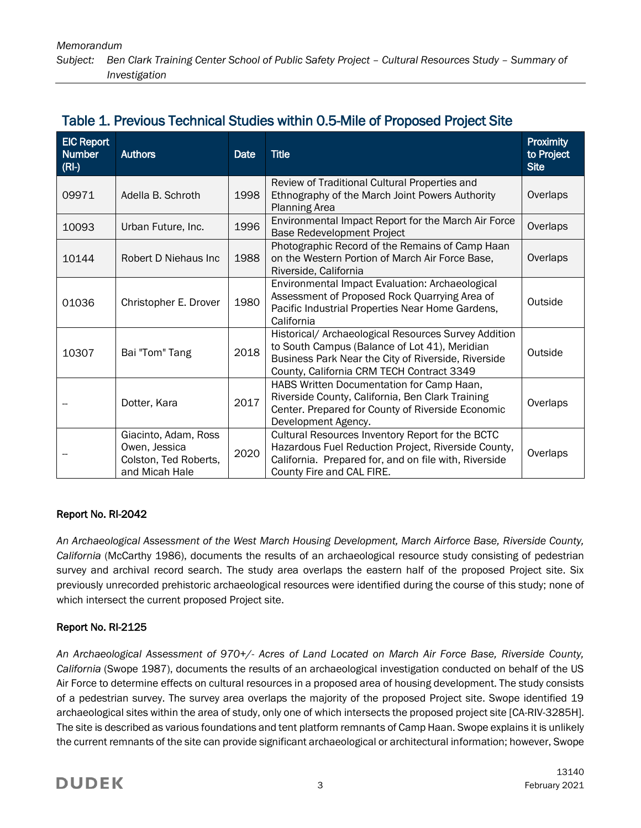### Table 1. Previous Technical Studies within 0.5-Mile of Proposed Project Site

| <b>EIC Report</b><br><b>Number</b><br>$(RI-)$ | <b>Authors</b>                                                                   | Date | <b>Title</b>                                                                                                                                                                                              | Proximity<br>to Project<br><b>Site</b> |
|-----------------------------------------------|----------------------------------------------------------------------------------|------|-----------------------------------------------------------------------------------------------------------------------------------------------------------------------------------------------------------|----------------------------------------|
| 09971                                         | Adella B. Schroth                                                                | 1998 | Review of Traditional Cultural Properties and<br>Ethnography of the March Joint Powers Authority<br><b>Planning Area</b>                                                                                  | Overlaps                               |
| 10093                                         | Urban Future, Inc.                                                               | 1996 | Environmental Impact Report for the March Air Force<br><b>Base Redevelopment Project</b>                                                                                                                  | Overlaps                               |
| 10144                                         | Robert D Niehaus Inc                                                             | 1988 | Photographic Record of the Remains of Camp Haan<br>on the Western Portion of March Air Force Base,<br>Riverside, California                                                                               | Overlaps                               |
| 01036                                         | Christopher E. Drover                                                            | 1980 | Environmental Impact Evaluation: Archaeological<br>Assessment of Proposed Rock Quarrying Area of<br>Pacific Industrial Properties Near Home Gardens,<br>California                                        | Outside                                |
| 10307                                         | Bai "Tom" Tang                                                                   | 2018 | Historical/ Archaeological Resources Survey Addition<br>to South Campus (Balance of Lot 41), Meridian<br>Business Park Near the City of Riverside, Riverside<br>County, California CRM TECH Contract 3349 | Outside                                |
|                                               | Dotter, Kara                                                                     | 2017 | HABS Written Documentation for Camp Haan,<br>Riverside County, California, Ben Clark Training<br>Center. Prepared for County of Riverside Economic<br>Development Agency.                                 | Overlaps                               |
|                                               | Giacinto, Adam, Ross<br>Owen, Jessica<br>Colston, Ted Roberts,<br>and Micah Hale | 2020 | Cultural Resources Inventory Report for the BCTC<br>Hazardous Fuel Reduction Project, Riverside County,<br>California. Prepared for, and on file with, Riverside<br>County Fire and CAL FIRE.             | Overlaps                               |

### Report No. RI-2042

*An Archaeological Assessment of the West March Housing Development, March Airforce Base, Riverside County, California* (McCarthy 1986), documents the results of an archaeological resource study consisting of pedestrian survey and archival record search. The study area overlaps the eastern half of the proposed Project site. Six previously unrecorded prehistoric archaeological resources were identified during the course of this study; none of which intersect the current proposed Project site.

### Report No. RI-2125

*An Archaeological Assessment of 970+/- Acres of Land Located on March Air Force Base, Riverside County, California* (Swope 1987), documents the results of an archaeological investigation conducted on behalf of the US Air Force to determine effects on cultural resources in a proposed area of housing development. The study consists of a pedestrian survey. The survey area overlaps the majority of the proposed Project site. Swope identified 19 archaeological sites within the area of study, only one of which intersects the proposed project site [CA-RIV-3285H]. The site is described as various foundations and tent platform remnants of Camp Haan. Swope explains it is unlikely the current remnants of the site can provide significant archaeological or architectural information; however, Swope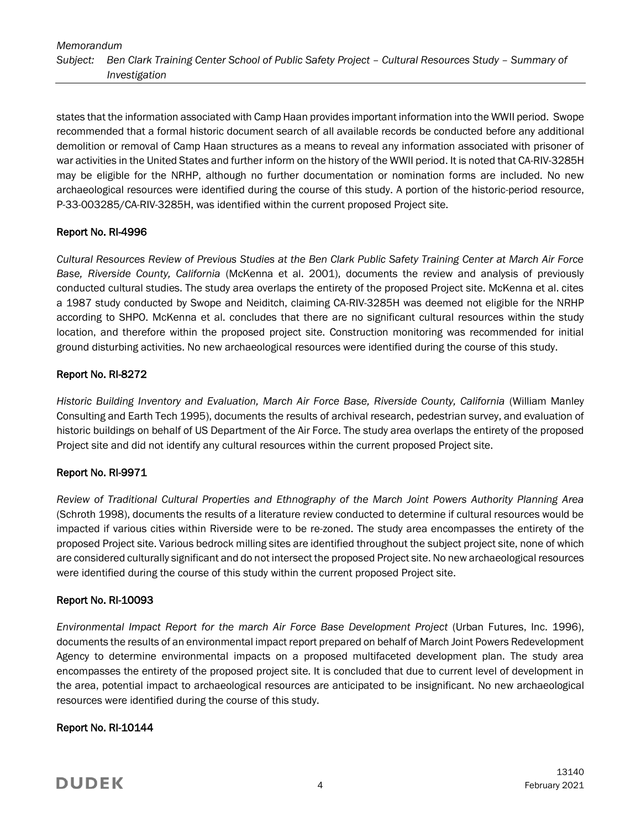states that the information associated with Camp Haan provides important information into the WWII period. Swope recommended that a formal historic document search of all available records be conducted before any additional demolition or removal of Camp Haan structures as a means to reveal any information associated with prisoner of war activities in the United States and further inform on the history of the WWII period. It is noted that CA-RIV-3285H may be eligible for the NRHP, although no further documentation or nomination forms are included. No new archaeological resources were identified during the course of this study. A portion of the historic-period resource, P-33-003285/CA-RIV-3285H, was identified within the current proposed Project site.

### Report No. RI-4996

*Cultural Resources Review of Previous Studies at the Ben Clark Public Safety Training Center at March Air Force Base, Riverside County, California* (McKenna et al. 2001), documents the review and analysis of previously conducted cultural studies. The study area overlaps the entirety of the proposed Project site. McKenna et al. cites a 1987 study conducted by Swope and Neiditch, claiming CA-RIV-3285H was deemed not eligible for the NRHP according to SHPO. McKenna et al. concludes that there are no significant cultural resources within the study location, and therefore within the proposed project site. Construction monitoring was recommended for initial ground disturbing activities. No new archaeological resources were identified during the course of this study.

### Report No. RI-8272

*Historic Building Inventory and Evaluation, March Air Force Base, Riverside County, California* (William Manley Consulting and Earth Tech 1995), documents the results of archival research, pedestrian survey, and evaluation of historic buildings on behalf of US Department of the Air Force. The study area overlaps the entirety of the proposed Project site and did not identify any cultural resources within the current proposed Project site.

### Report No. RI-9971

*Review of Traditional Cultural Properties and Ethnography of the March Joint Powers Authority Planning Area*  (Schroth 1998), documents the results of a literature review conducted to determine if cultural resources would be impacted if various cities within Riverside were to be re-zoned. The study area encompasses the entirety of the proposed Project site. Various bedrock milling sites are identified throughout the subject project site, none of which are considered culturally significant and do not intersect the proposed Project site. No new archaeological resources were identified during the course of this study within the current proposed Project site.

### Report No. RI-10093

*Environmental Impact Report for the march Air Force Base Development Project* (Urban Futures, Inc. 1996), documents the results of an environmental impact report prepared on behalf of March Joint Powers Redevelopment Agency to determine environmental impacts on a proposed multifaceted development plan. The study area encompasses the entirety of the proposed project site. It is concluded that due to current level of development in the area, potential impact to archaeological resources are anticipated to be insignificant. No new archaeological resources were identified during the course of this study.

### Report No. RI-10144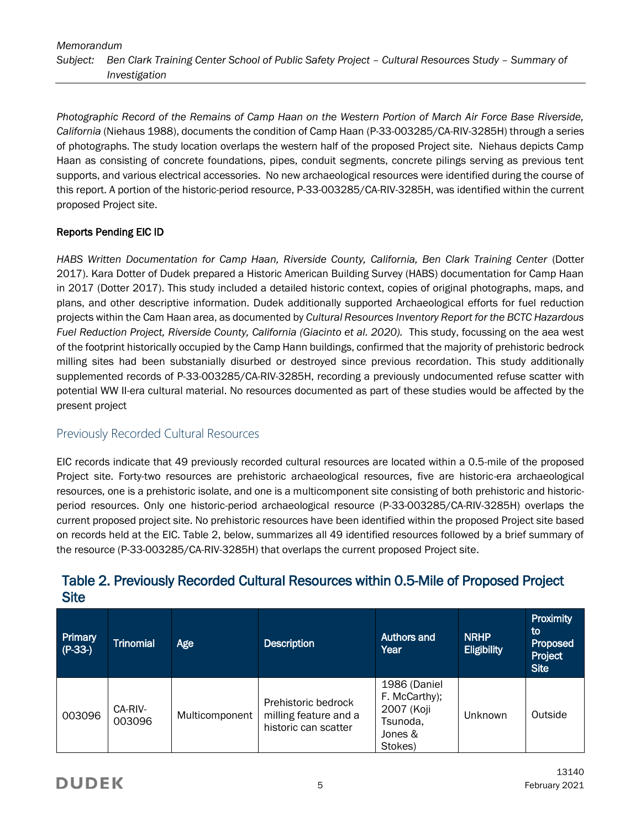*Photographic Record of the Remains of Camp Haan on the Western Portion of March Air Force Base Riverside, California* (Niehaus 1988), documents the condition of Camp Haan (P-33-003285/CA-RIV-3285H) through a series of photographs. The study location overlaps the western half of the proposed Project site. Niehaus depicts Camp Haan as consisting of concrete foundations, pipes, conduit segments, concrete pilings serving as previous tent supports, and various electrical accessories. No new archaeological resources were identified during the course of this report. A portion of the historic-period resource, P-33-003285/CA-RIV-3285H, was identified within the current proposed Project site.

### Reports Pending EIC ID

*HABS Written Documentation for Camp Haan, Riverside County, California, Ben Clark Training Center* (Dotter 2017). Kara Dotter of Dudek prepared a Historic American Building Survey (HABS) documentation for Camp Haan in 2017 (Dotter 2017). This study included a detailed historic context, copies of original photographs, maps, and plans, and other descriptive information. Dudek additionally supported Archaeological efforts for fuel reduction projects within the Cam Haan area, as documented by *Cultural Resources Inventory Report for the BCTC Hazardous Fuel Reduction Project, Riverside County, California (Giacinto et al. 2020).* This study, focussing on the aea west of the footprint historically occupied by the Camp Hann buildings, confirmed that the majority of prehistoric bedrock milling sites had been substanially disurbed or destroyed since previous recordation. This study additionally supplemented records of P-33-003285/CA-RIV-3285H, recording a previously undocumented refuse scatter with potential WW II-era cultural material. No resources documented as part of these studies would be affected by the present project

### Previously Recorded Cultural Resources

EIC records indicate that 49 previously recorded cultural resources are located within a 0.5-mile of the proposed Project site. Forty-two resources are prehistoric archaeological resources, five are historic-era archaeological resources, one is a prehistoric isolate, and one is a multicomponent site consisting of both prehistoric and historicperiod resources. Only one historic-period archaeological resource (P-33-003285/CA-RIV-3285H) overlaps the current proposed project site. No prehistoric resources have been identified within the proposed Project site based on records held at the EIC. Table 2, below, summarizes all 49 identified resources followed by a brief summary of the resource (P-33-003285/CA-RIV-3285H) that overlaps the current proposed Project site.

| Primary<br>$(P-33-)$ | Trinomial         | <b>Age</b>     | <b>Description</b>                                                   | Authors and<br>Year                                                           | <b>NRHP</b><br>Eligibility | <b>Proximity</b><br>to<br><b>Proposed</b><br>Project<br><b>Site</b> |
|----------------------|-------------------|----------------|----------------------------------------------------------------------|-------------------------------------------------------------------------------|----------------------------|---------------------------------------------------------------------|
| 003096               | CA-RIV-<br>003096 | Multicomponent | Prehistoric bedrock<br>milling feature and a<br>historic can scatter | 1986 (Daniel<br>F. McCarthy);<br>2007 (Koji<br>Tsunoda,<br>Jones &<br>Stokes) | Unknown                    | Outside                                                             |

### Table 2. Previously Recorded Cultural Resources within 0.5-Mile of Proposed Project **Site**

# **DUDEK**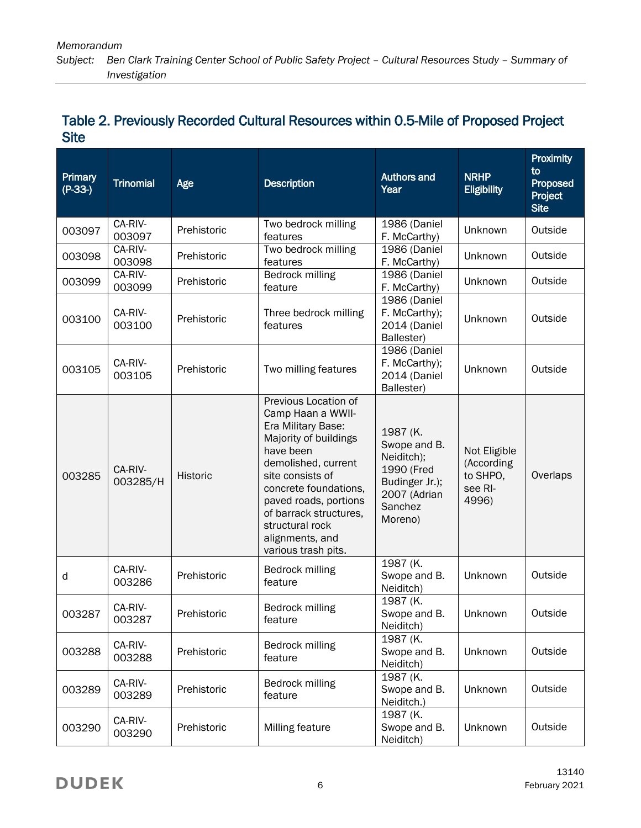| Primary<br>$(P-33-)$ | <b>Trinomial</b>    | Age             | <b>Description</b>                                                                                                                                                                                                                                                                        | <b>Authors and</b><br>Year                                                                                   | <b>NRHP</b><br><b>Eligibility</b>                          | <b>Proximity</b><br>to<br>Proposed<br>Project<br><b>Site</b> |
|----------------------|---------------------|-----------------|-------------------------------------------------------------------------------------------------------------------------------------------------------------------------------------------------------------------------------------------------------------------------------------------|--------------------------------------------------------------------------------------------------------------|------------------------------------------------------------|--------------------------------------------------------------|
| 003097               | CA-RIV-<br>003097   | Prehistoric     | Two bedrock milling<br>features                                                                                                                                                                                                                                                           | 1986 (Daniel<br>F. McCarthy)                                                                                 | Unknown                                                    | Outside                                                      |
| 003098               | CA-RIV-<br>003098   | Prehistoric     | Two bedrock milling<br>features                                                                                                                                                                                                                                                           | 1986 (Daniel<br>F. McCarthy)                                                                                 | Unknown                                                    | Outside                                                      |
| 003099               | CA-RIV-<br>003099   | Prehistoric     | Bedrock milling<br>feature                                                                                                                                                                                                                                                                | 1986 (Daniel<br>F. McCarthy)                                                                                 | Unknown                                                    | Outside                                                      |
| 003100               | CA-RIV-<br>003100   | Prehistoric     | Three bedrock milling<br>features                                                                                                                                                                                                                                                         | 1986 (Daniel<br>F. McCarthy);<br>2014 (Daniel<br>Ballester)                                                  | Unknown                                                    | Outside                                                      |
| 003105               | CA-RIV-<br>003105   | Prehistoric     | Two milling features                                                                                                                                                                                                                                                                      | 1986 (Daniel<br>F. McCarthy);<br>2014 (Daniel<br>Ballester)                                                  | Unknown                                                    | Outside                                                      |
| 003285               | CA-RIV-<br>003285/H | <b>Historic</b> | Previous Location of<br>Camp Haan a WWII-<br>Era Military Base:<br>Majority of buildings<br>have been<br>demolished, current<br>site consists of<br>concrete foundations,<br>paved roads, portions<br>of barrack structures,<br>structural rock<br>alignments, and<br>various trash pits. | 1987 (K.<br>Swope and B.<br>Neiditch);<br>1990 (Fred<br>Budinger Jr.);<br>2007 (Adrian<br>Sanchez<br>Moreno) | Not Eligible<br>(According<br>to SHPO,<br>see RI-<br>4996) | Overlaps                                                     |
| d                    | CA-RIV-<br>003286   | Prehistoric     | Bedrock milling<br>feature                                                                                                                                                                                                                                                                | 1987 (K.<br>Swope and B.<br>Neiditch)                                                                        | Unknown                                                    | Outside                                                      |
| 003287               | CA-RIV-<br>003287   | Prehistoric     | Bedrock milling<br>feature                                                                                                                                                                                                                                                                | 1987 (K.<br>Swope and B.<br>Neiditch)                                                                        | Unknown                                                    | Outside                                                      |
| 003288               | CA-RIV-<br>003288   | Prehistoric     | Bedrock milling<br>feature                                                                                                                                                                                                                                                                | 1987 (K.<br>Swope and B.<br>Neiditch)                                                                        | Unknown                                                    | Outside                                                      |
| 003289               | CA-RIV-<br>003289   | Prehistoric     | Bedrock milling<br>feature                                                                                                                                                                                                                                                                | 1987 (K.<br>Swope and B.<br>Neiditch.)                                                                       | Unknown                                                    | Outside                                                      |
| 003290               | CA-RIV-<br>003290   | Prehistoric     | Milling feature                                                                                                                                                                                                                                                                           | 1987 (K.<br>Swope and B.<br>Neiditch)                                                                        | Unknown                                                    | Outside                                                      |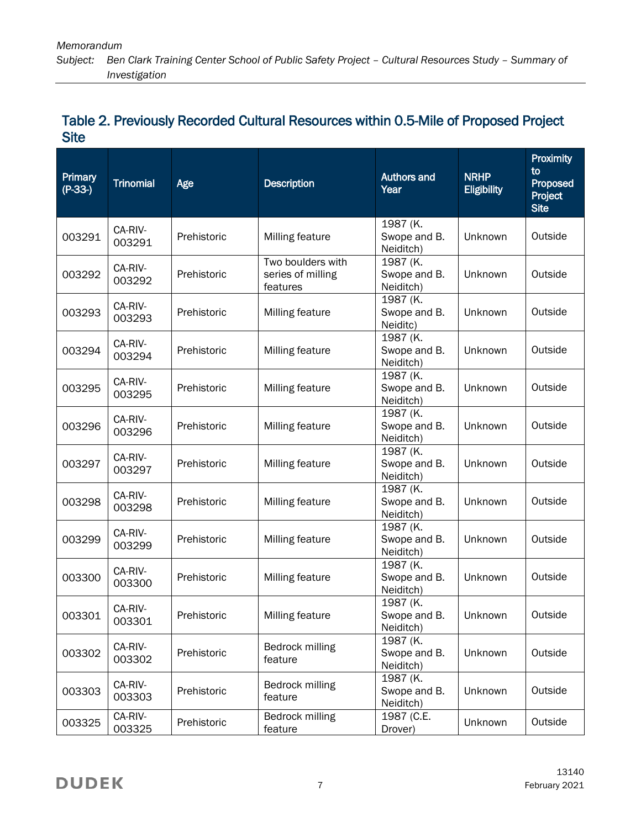| Primary<br>$(P-33-)$ | <b>Trinomial</b>  | Age         | <b>Description</b>                                 | <b>Authors and</b><br>Year            | <b>NRHP</b><br><b>Eligibility</b> | Proximity<br>to<br>Proposed<br>Project<br><b>Site</b> |
|----------------------|-------------------|-------------|----------------------------------------------------|---------------------------------------|-----------------------------------|-------------------------------------------------------|
| 003291               | CA-RIV-<br>003291 | Prehistoric | Milling feature                                    | 1987 (K.<br>Swope and B.<br>Neiditch) | Unknown                           | Outside                                               |
| 003292               | CA-RIV-<br>003292 | Prehistoric | Two boulders with<br>series of milling<br>features | 1987 (K.<br>Swope and B.<br>Neiditch) | Unknown                           | Outside                                               |
| 003293               | CA-RIV-<br>003293 | Prehistoric | Milling feature                                    | 1987 (K.<br>Swope and B.<br>Neiditc)  | Unknown                           | Outside                                               |
| 003294               | CA-RIV-<br>003294 | Prehistoric | Milling feature                                    | 1987 (K.<br>Swope and B.<br>Neiditch) | Unknown                           | Outside                                               |
| 003295               | CA-RIV-<br>003295 | Prehistoric | Milling feature                                    | 1987 (K.<br>Swope and B.<br>Neiditch) | Unknown                           | Outside                                               |
| 003296               | CA-RIV-<br>003296 | Prehistoric | Milling feature                                    | 1987 (K.<br>Swope and B.<br>Neiditch) | Unknown                           | Outside                                               |
| 003297               | CA-RIV-<br>003297 | Prehistoric | Milling feature                                    | 1987 (K.<br>Swope and B.<br>Neiditch) | Unknown                           | Outside                                               |
| 003298               | CA-RIV-<br>003298 | Prehistoric | Milling feature                                    | 1987 (K.<br>Swope and B.<br>Neiditch) | Unknown                           | Outside                                               |
| 003299               | CA-RIV-<br>003299 | Prehistoric | Milling feature                                    | 1987 (K.<br>Swope and B.<br>Neiditch) | Unknown                           | Outside                                               |
| 003300               | CA-RIV-<br>003300 | Prehistoric | Milling feature                                    | 1987 (K.<br>Swope and B.<br>Neiditch) | Unknown                           | Outside                                               |
| 003301               | CA-RIV-<br>003301 | Prehistoric | Milling feature                                    | 1987 (K.<br>Swope and B.<br>Neiditch) | Unknown                           | Outside                                               |
| 003302               | CA-RIV-<br>003302 | Prehistoric | Bedrock milling<br>feature                         | 1987 (K.<br>Swope and B.<br>Neiditch) | Unknown                           | Outside                                               |
| 003303               | CA-RIV-<br>003303 | Prehistoric | Bedrock milling<br>feature                         | 1987 (K.<br>Swope and B.<br>Neiditch) | Unknown                           | Outside                                               |
| 003325               | CA-RIV-<br>003325 | Prehistoric | Bedrock milling<br>feature                         | 1987 (C.E.<br>Drover)                 | Unknown                           | Outside                                               |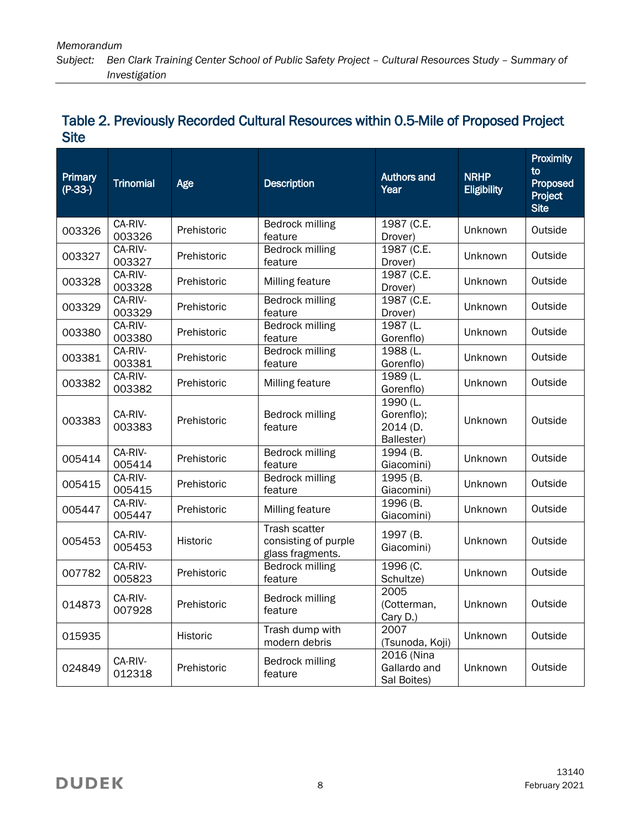| Primary<br>$(P-33-)$ | <b>Trinomial</b>  | Age         | <b>Description</b>                                        | <b>Authors and</b><br>Year                       | <b>NRHP</b><br><b>Eligibility</b> | Proximity<br>to<br>Proposed<br>Project<br><b>Site</b> |
|----------------------|-------------------|-------------|-----------------------------------------------------------|--------------------------------------------------|-----------------------------------|-------------------------------------------------------|
| 003326               | CA-RIV-<br>003326 | Prehistoric | Bedrock milling<br>feature                                | 1987 (C.E.<br>Drover)                            | Unknown                           | Outside                                               |
| 003327               | CA-RIV-<br>003327 | Prehistoric | <b>Bedrock milling</b><br>feature                         | 1987 (C.E.<br>Drover)                            | Unknown                           | Outside                                               |
| 003328               | CA-RIV-<br>003328 | Prehistoric | Milling feature                                           | 1987 (C.E.<br>Drover)                            | Unknown                           | Outside                                               |
| 003329               | CA-RIV-<br>003329 | Prehistoric | Bedrock milling<br>feature                                | 1987 (C.E.<br>Drover)                            | Unknown                           | Outside                                               |
| 003380               | CA-RIV-<br>003380 | Prehistoric | <b>Bedrock milling</b><br>feature                         | 1987 (L.<br>Gorenflo)                            | Unknown                           | Outside                                               |
| 003381               | CA-RIV-<br>003381 | Prehistoric | Bedrock milling<br>feature                                | 1988 (L.<br>Gorenflo)                            | Unknown                           | Outside                                               |
| 003382               | CA-RIV-<br>003382 | Prehistoric | Milling feature                                           | 1989 (L.<br>Gorenflo)                            | Unknown                           | Outside                                               |
| 003383               | CA-RIV-<br>003383 | Prehistoric | Bedrock milling<br>feature                                | 1990 (L.<br>Gorenflo);<br>2014 (D.<br>Ballester) | Unknown                           | Outside                                               |
| 005414               | CA-RIV-<br>005414 | Prehistoric | Bedrock milling<br>feature                                | 1994 (B.<br>Giacomini)                           | Unknown                           | Outside                                               |
| 005415               | CA-RIV-<br>005415 | Prehistoric | <b>Bedrock milling</b><br>feature                         | 1995 (B.<br>Giacomini)                           | Unknown                           | Outside                                               |
| 005447               | CA-RIV-<br>005447 | Prehistoric | Milling feature                                           | 1996 (B.<br>Giacomini)                           | Unknown                           | Outside                                               |
| 005453               | CA-RIV-<br>005453 | Historic    | Trash scatter<br>consisting of purple<br>glass fragments. | 1997 (B.<br>Giacomini)                           | Unknown                           | Outside                                               |
| 007782               | CA-RIV-<br>005823 | Prehistoric | Bedrock milling<br>feature                                | 1996 (C.<br>Schultze)                            | Unknown                           | Outside                                               |
| 014873               | CA-RIV-<br>007928 | Prehistoric | Bedrock milling<br>feature                                | 2005<br>(Cotterman,<br>Cary D.)                  | Unknown                           | Outside                                               |
| 015935               |                   | Historic    | Trash dump with<br>modern debris                          | 2007<br>(Tsunoda, Koji)                          | Unknown                           | Outside                                               |
| 024849               | CA-RIV-<br>012318 | Prehistoric | Bedrock milling<br>feature                                | 2016 (Nina<br>Gallardo and<br>Sal Boites)        | Unknown                           | Outside                                               |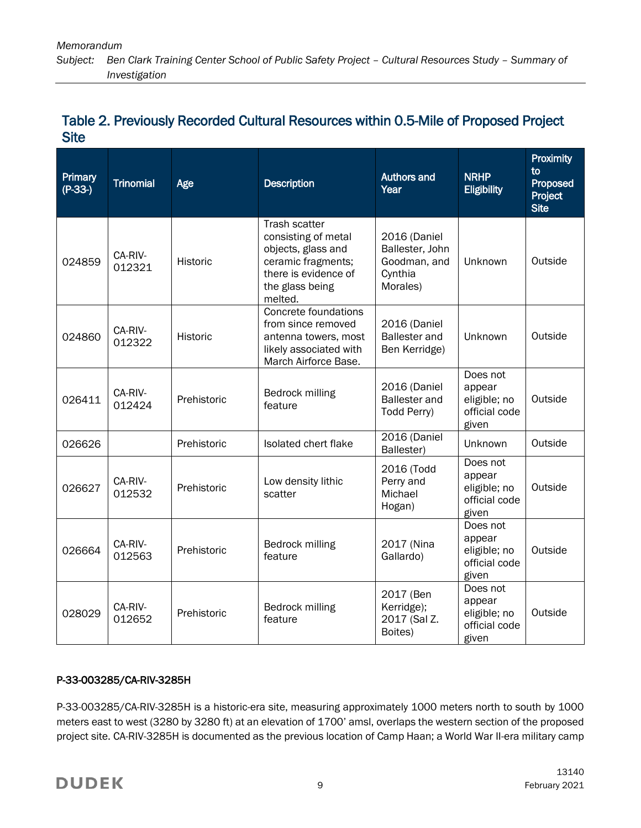| Primary<br>$(P-33-)$ | <b>Trinomial</b>  | Age             | <b>Description</b>                                                                                                                     | <b>Authors and</b><br>Year                                             | <b>NRHP</b><br><b>Eligibility</b>                            | Proximity<br>to<br>Proposed<br>Project<br><b>Site</b> |
|----------------------|-------------------|-----------------|----------------------------------------------------------------------------------------------------------------------------------------|------------------------------------------------------------------------|--------------------------------------------------------------|-------------------------------------------------------|
| 024859               | CA-RIV-<br>012321 | Historic        | Trash scatter<br>consisting of metal<br>objects, glass and<br>ceramic fragments;<br>there is evidence of<br>the glass being<br>melted. | 2016 (Daniel<br>Ballester, John<br>Goodman, and<br>Cynthia<br>Morales) | Unknown                                                      | Outside                                               |
| 024860               | CA-RIV-<br>012322 | <b>Historic</b> | Concrete foundations<br>from since removed<br>antenna towers, most<br>likely associated with<br>March Airforce Base.                   | 2016 (Daniel<br><b>Ballester</b> and<br>Ben Kerridge)                  | Unknown                                                      | Outside                                               |
| 026411               | CA-RIV-<br>012424 | Prehistoric     | Bedrock milling<br>feature                                                                                                             | 2016 (Daniel<br><b>Ballester</b> and<br>Todd Perry)                    | Does not<br>appear<br>eligible; no<br>official code<br>given | Outside                                               |
| 026626               |                   | Prehistoric     | Isolated chert flake                                                                                                                   | 2016 (Daniel<br>Ballester)                                             | Unknown                                                      | Outside                                               |
| 026627               | CA-RIV-<br>012532 | Prehistoric     | Low density lithic<br>scatter                                                                                                          | 2016 (Todd<br>Perry and<br>Michael<br>Hogan)                           | Does not<br>appear<br>eligible; no<br>official code<br>given | Outside                                               |
| 026664               | CA-RIV-<br>012563 | Prehistoric     | Bedrock milling<br>feature                                                                                                             | 2017 (Nina<br>Gallardo)                                                | Does not<br>appear<br>eligible; no<br>official code<br>given | Outside                                               |
| 028029               | CA-RIV-<br>012652 | Prehistoric     | Bedrock milling<br>feature                                                                                                             | 2017 (Ben<br>Kerridge);<br>2017 (Sal Z.<br>Boites)                     | Does not<br>appear<br>eligible; no<br>official code<br>given | Outside                                               |

### P-33-003285/CA-RIV-3285H

P-33-003285/CA-RIV-3285H is a historic-era site, measuring approximately 1000 meters north to south by 1000 meters east to west (3280 by 3280 ft) at an elevation of 1700' amsl, overlaps the western section of the proposed project site. CA-RIV-3285H is documented as the previous location of Camp Haan; a World War II-era military camp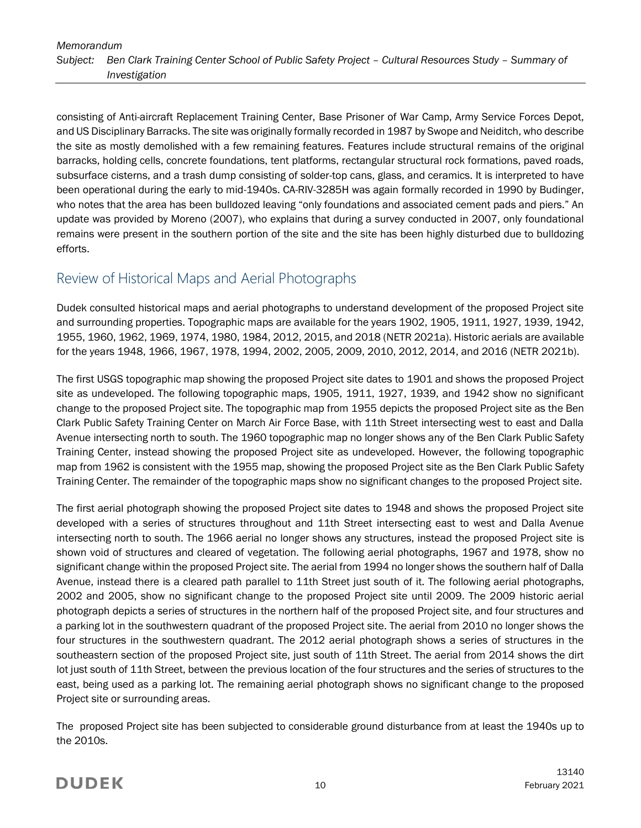consisting of Anti-aircraft Replacement Training Center, Base Prisoner of War Camp, Army Service Forces Depot, and US Disciplinary Barracks. The site was originally formally recorded in 1987 by Swope and Neiditch, who describe the site as mostly demolished with a few remaining features. Features include structural remains of the original barracks, holding cells, concrete foundations, tent platforms, rectangular structural rock formations, paved roads, subsurface cisterns, and a trash dump consisting of solder-top cans, glass, and ceramics. It is interpreted to have been operational during the early to mid-1940s. CA-RIV-3285H was again formally recorded in 1990 by Budinger, who notes that the area has been bulldozed leaving "only foundations and associated cement pads and piers." An update was provided by Moreno (2007), who explains that during a survey conducted in 2007, only foundational remains were present in the southern portion of the site and the site has been highly disturbed due to bulldozing efforts.

# Review of Historical Maps and Aerial Photographs

Dudek consulted historical maps and aerial photographs to understand development of the proposed Project site and surrounding properties. Topographic maps are available for the years 1902, 1905, 1911, 1927, 1939, 1942, 1955, 1960, 1962, 1969, 1974, 1980, 1984, 2012, 2015, and 2018 (NETR 2021a). Historic aerials are available for the years 1948, 1966, 1967, 1978, 1994, 2002, 2005, 2009, 2010, 2012, 2014, and 2016 (NETR 2021b).

The first USGS topographic map showing the proposed Project site dates to 1901 and shows the proposed Project site as undeveloped. The following topographic maps, 1905, 1911, 1927, 1939, and 1942 show no significant change to the proposed Project site. The topographic map from 1955 depicts the proposed Project site as the Ben Clark Public Safety Training Center on March Air Force Base, with 11th Street intersecting west to east and Dalla Avenue intersecting north to south. The 1960 topographic map no longer shows any of the Ben Clark Public Safety Training Center, instead showing the proposed Project site as undeveloped. However, the following topographic map from 1962 is consistent with the 1955 map, showing the proposed Project site as the Ben Clark Public Safety Training Center. The remainder of the topographic maps show no significant changes to the proposed Project site.

The first aerial photograph showing the proposed Project site dates to 1948 and shows the proposed Project site developed with a series of structures throughout and 11th Street intersecting east to west and Dalla Avenue intersecting north to south. The 1966 aerial no longer shows any structures, instead the proposed Project site is shown void of structures and cleared of vegetation. The following aerial photographs, 1967 and 1978, show no significant change within the proposed Project site. The aerial from 1994 no longer shows the southern half of Dalla Avenue, instead there is a cleared path parallel to 11th Street just south of it. The following aerial photographs, 2002 and 2005, show no significant change to the proposed Project site until 2009. The 2009 historic aerial photograph depicts a series of structures in the northern half of the proposed Project site, and four structures and a parking lot in the southwestern quadrant of the proposed Project site. The aerial from 2010 no longer shows the four structures in the southwestern quadrant. The 2012 aerial photograph shows a series of structures in the southeastern section of the proposed Project site, just south of 11th Street. The aerial from 2014 shows the dirt lot just south of 11th Street, between the previous location of the four structures and the series of structures to the east, being used as a parking lot. The remaining aerial photograph shows no significant change to the proposed Project site or surrounding areas.

The proposed Project site has been subjected to considerable ground disturbance from at least the 1940s up to the 2010s.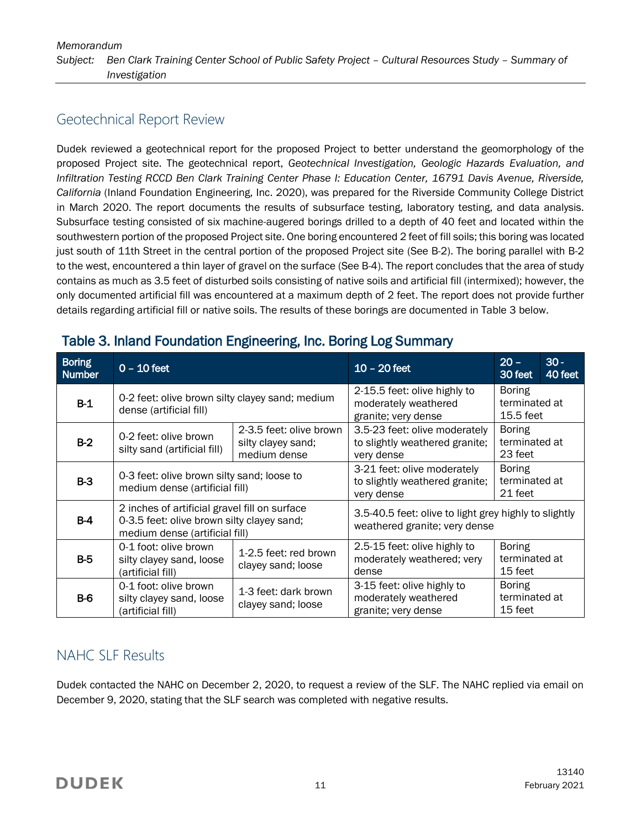# Geotechnical Report Review

Dudek reviewed a geotechnical report for the proposed Project to better understand the geomorphology of the proposed Project site. The geotechnical report, *Geotechnical Investigation, Geologic Hazards Evaluation, and Infiltration Testing RCCD Ben Clark Training Center Phase I: Education Center, 16791 Davis Avenue, Riverside, California* (Inland Foundation Engineering, Inc. 2020), was prepared for the Riverside Community College District in March 2020. The report documents the results of subsurface testing, laboratory testing, and data analysis. Subsurface testing consisted of six machine-augered borings drilled to a depth of 40 feet and located within the southwestern portion of the proposed Project site. One boring encountered 2 feet of fill soils; this boring was located just south of 11th Street in the central portion of the proposed Project site (See B-2). The boring parallel with B-2 to the west, encountered a thin layer of gravel on the surface (See B-4). The report concludes that the area of study contains as much as 3.5 feet of disturbed soils consisting of native soils and artificial fill (intermixed); however, the only documented artificial fill was encountered at a maximum depth of 2 feet. The report does not provide further details regarding artificial fill or native soils. The results of these borings are documented in Table 3 below.

| <b>Boring</b><br><b>Number</b> | $0 - 10$ feet                                                                                                                 |                                             | $10 - 20$ feet                                                                         | $20 -$<br>30 feet                           | $30 -$<br>40 feet |
|--------------------------------|-------------------------------------------------------------------------------------------------------------------------------|---------------------------------------------|----------------------------------------------------------------------------------------|---------------------------------------------|-------------------|
| $B-1$                          | 0-2 feet: olive brown silty clayey sand; medium<br>dense (artificial fill)                                                    |                                             | 2-15.5 feet: olive highly to<br>moderately weathered<br>granite; very dense            | <b>Boring</b><br>terminated at<br>15.5 feet |                   |
| $B-2$                          | 2-3.5 feet: olive brown<br>0-2 feet: olive brown<br>silty clayey sand;<br>silty sand (artificial fill)<br>medium dense        |                                             | 3.5-23 feet: olive moderately<br>to slightly weathered granite;<br>very dense          | <b>Boring</b><br>terminated at<br>23 feet   |                   |
| $B-3$                          | 0-3 feet: olive brown silty sand; loose to<br>medium dense (artificial fill)                                                  |                                             | 3-21 feet: olive moderately<br>to slightly weathered granite;<br>very dense            | <b>Boring</b><br>terminated at<br>21 feet   |                   |
| B-4                            | 2 inches of artificial gravel fill on surface<br>0-3.5 feet: olive brown silty clayey sand;<br>medium dense (artificial fill) |                                             | 3.5-40.5 feet: olive to light grey highly to slightly<br>weathered granite; very dense |                                             |                   |
| $B-5$                          | 0-1 foot: olive brown<br>silty clayey sand, loose<br>(artificial fill)                                                        | 1-2.5 feet: red brown<br>clayey sand; loose | 2.5-15 feet: olive highly to<br>moderately weathered; very<br>dense                    | <b>Boring</b><br>terminated at<br>15 feet   |                   |
| <b>B-6</b>                     | 0-1 foot: olive brown<br>silty clayey sand, loose<br>(artificial fill)                                                        | 1-3 feet: dark brown<br>clayey sand; loose  | 3-15 feet: olive highly to<br>moderately weathered<br>granite; very dense              | <b>Boring</b><br>terminated at<br>15 feet   |                   |

### Table 3. Inland Foundation Engineering, Inc. Boring Log Summary

# NAHC SLF Results

Dudek contacted the NAHC on December 2, 2020, to request a review of the SLF. The NAHC replied via email on December 9, 2020, stating that the SLF search was completed with negative results.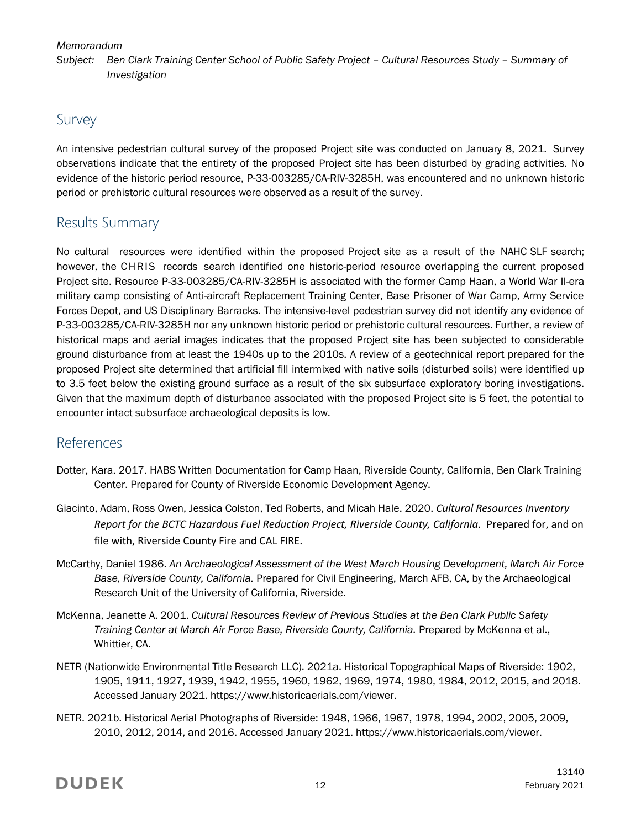# Survey

An intensive pedestrian cultural survey of the proposed Project site was conducted on January 8, 2021. Survey observations indicate that the entirety of the proposed Project site has been disturbed by grading activities. No evidence of the historic period resource, P-33-003285/CA-RIV-3285H, was encountered and no unknown historic period or prehistoric cultural resources were observed as a result of the survey.

# Results Summary

No cultural resources were identified within the proposed Project site as a result of the NAHC SLF search; however, the CHRIS records search identified one historic-period resource overlapping the current proposed Project site. Resource P-33-003285/CA-RIV-3285H is associated with the former Camp Haan, a World War II-era military camp consisting of Anti-aircraft Replacement Training Center, Base Prisoner of War Camp, Army Service Forces Depot, and US Disciplinary Barracks. The intensive-level pedestrian survey did not identify any evidence of P-33-003285/CA-RIV-3285H nor any unknown historic period or prehistoric cultural resources. Further, a review of historical maps and aerial images indicates that the proposed Project site has been subjected to considerable ground disturbance from at least the 1940s up to the 2010s. A review of a geotechnical report prepared for the proposed Project site determined that artificial fill intermixed with native soils (disturbed soils) were identified up to 3.5 feet below the existing ground surface as a result of the six subsurface exploratory boring investigations. Given that the maximum depth of disturbance associated with the proposed Project site is 5 feet, the potential to encounter intact subsurface archaeological deposits is low.

### References

- Dotter, Kara. 2017. HABS Written Documentation for Camp Haan, Riverside County, California, Ben Clark Training Center. Prepared for County of Riverside Economic Development Agency.
- Giacinto, Adam, Ross Owen, Jessica Colston, Ted Roberts, and Micah Hale. 2020. *Cultural Resources Inventory Report for the BCTC Hazardous Fuel Reduction Project, Riverside County, California.* Prepared for, and on file with, Riverside County Fire and CAL FIRE.
- McCarthy, Daniel 1986. *An Archaeological Assessment of the West March Housing Development, March Air Force Base, Riverside County, California.* Prepared for Civil Engineering, March AFB, CA, by the Archaeological Research Unit of the University of California, Riverside.
- McKenna, Jeanette A. 2001. *Cultural Resources Review of Previous Studies at the Ben Clark Public Safety Training Center at March Air Force Base, Riverside County, California.* Prepared by McKenna et al., Whittier, CA.
- NETR (Nationwide Environmental Title Research LLC). 2021a. Historical Topographical Maps of Riverside: 1902, 1905, 1911, 1927, 1939, 1942, 1955, 1960, 1962, 1969, 1974, 1980, 1984, 2012, 2015, and 2018. Accessed January 2021. https://www.historicaerials.com/viewer.
- NETR. 2021b. Historical Aerial Photographs of Riverside: 1948, 1966, 1967, 1978, 1994, 2002, 2005, 2009, 2010, 2012, 2014, and 2016. Accessed January 2021. https://www.historicaerials.com/viewer.